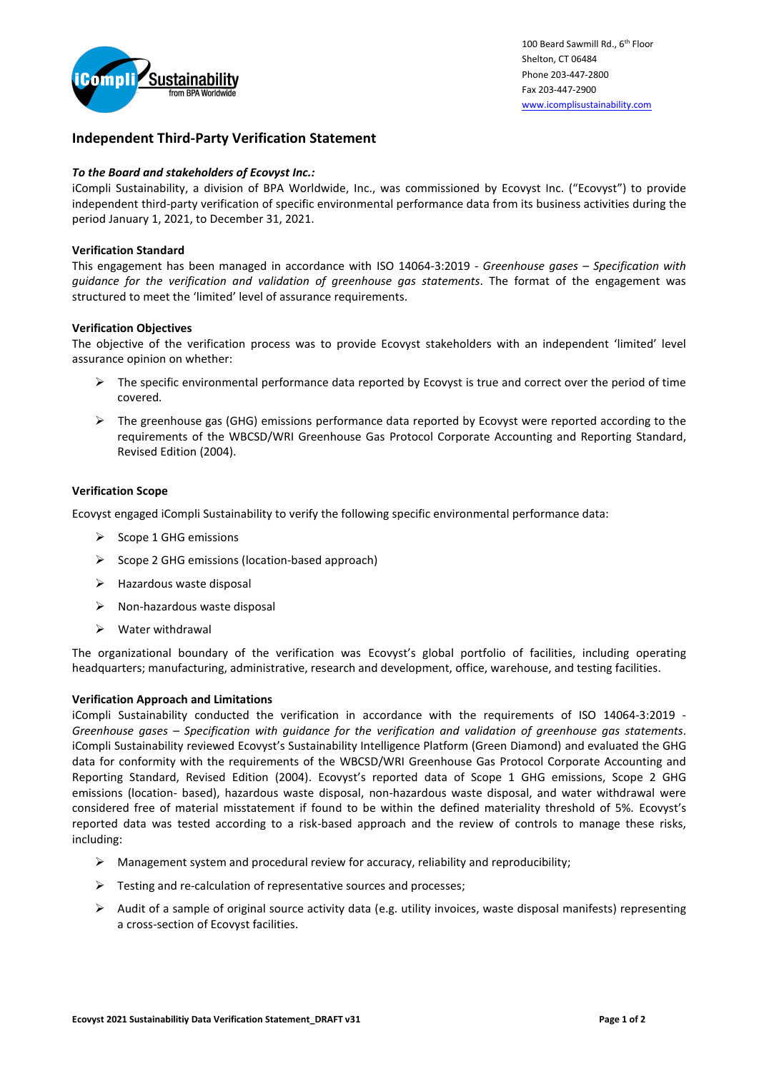

# **Independent Third-Party Verification Statement**

## *To the Board and stakeholders of Ecovyst Inc.:*

iCompli Sustainability, a division of BPA Worldwide, Inc., was commissioned by Ecovyst Inc. ("Ecovyst") to provide independent third-party verification of specific environmental performance data from its business activities during the period January 1, 2021, to December 31, 2021.

## **Verification Standard**

This engagement has been managed in accordance with ISO 14064-3:2019 - *Greenhouse gases – Specification with guidance for the verification and validation of greenhouse gas statements*. The format of the engagement was structured to meet the 'limited' level of assurance requirements.

### **Verification Objectives**

The objective of the verification process was to provide Ecovyst stakeholders with an independent 'limited' level assurance opinion on whether:

- $\triangleright$  The specific environmental performance data reported by Ecovyst is true and correct over the period of time covered*.*
- $\triangleright$  The greenhouse gas (GHG) emissions performance data reported by Ecovyst were reported according to the requirements of the WBCSD/WRI Greenhouse Gas Protocol Corporate Accounting and Reporting Standard, Revised Edition (2004).

### **Verification Scope**

Ecovyst engaged iCompli Sustainability to verify the following specific environmental performance data:

- $\triangleright$  Scope 1 GHG emissions
- ➢ Scope 2 GHG emissions (location-based approach)
- ➢ Hazardous waste disposal
- ➢ Non-hazardous waste disposal
- ➢ Water withdrawal

The organizational boundary of the verification was Ecovyst's global portfolio of facilities, including operating headquarters; manufacturing, administrative, research and development, office, warehouse, and testing facilities.

#### **Verification Approach and Limitations**

iCompli Sustainability conducted the verification in accordance with the requirements of ISO 14064-3:2019 - *Greenhouse gases – Specification with guidance for the verification and validation of greenhouse gas statements*. iCompli Sustainability reviewed Ecovyst's Sustainability Intelligence Platform (Green Diamond) and evaluated the GHG data for conformity with the requirements of the WBCSD/WRI Greenhouse Gas Protocol Corporate Accounting and Reporting Standard, Revised Edition (2004). Ecovyst's reported data of Scope 1 GHG emissions, Scope 2 GHG emissions (location- based), hazardous waste disposal, non-hazardous waste disposal, and water withdrawal were considered free of material misstatement if found to be within the defined materiality threshold of 5%. Ecovyst's reported data was tested according to a risk-based approach and the review of controls to manage these risks, including:

- $\triangleright$  Management system and procedural review for accuracy, reliability and reproducibility;
- $\triangleright$  Testing and re-calculation of representative sources and processes;
- ➢ Audit of a sample of original source activity data (e.g. utility invoices, waste disposal manifests) representing a cross-section of Ecovyst facilities.